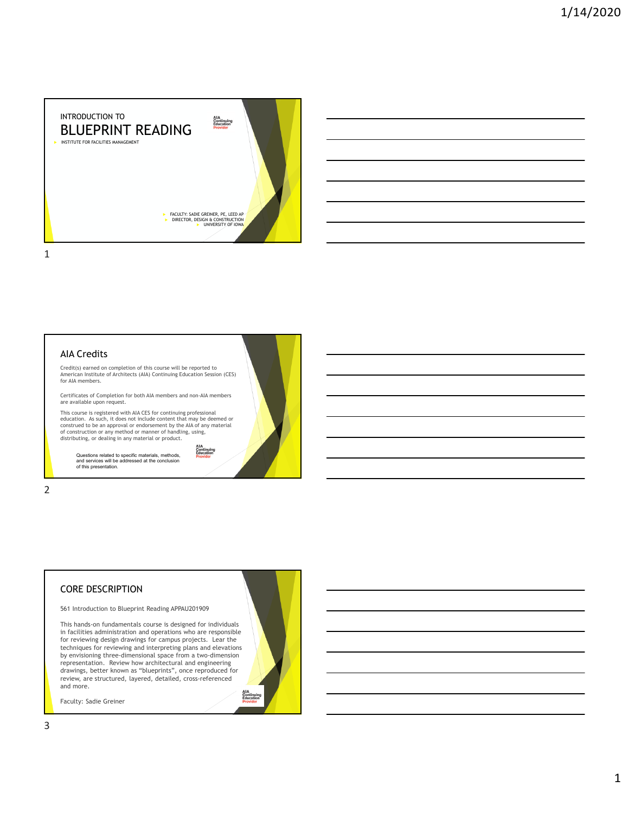



## CORE DESCRIPTION

561 Introduction to Blueprint Reading APPAU201909

This hands-on fundamentals course is designed for individuals in facilities administration and operations who are responsible for reviewing design drawings for campus projects. Lear the techniques for reviewing and interpreting plans and elevations by envisioning three-dimensional space from a two-dimension representation. Review how architectural and engineering drawings, better known as "blueprints", once reproduced for review, are structured, layered, detailed, cross-referenced and more. AIA<br>Continuing<br>Education<br>Drouider

Faculty: Sadie Greiner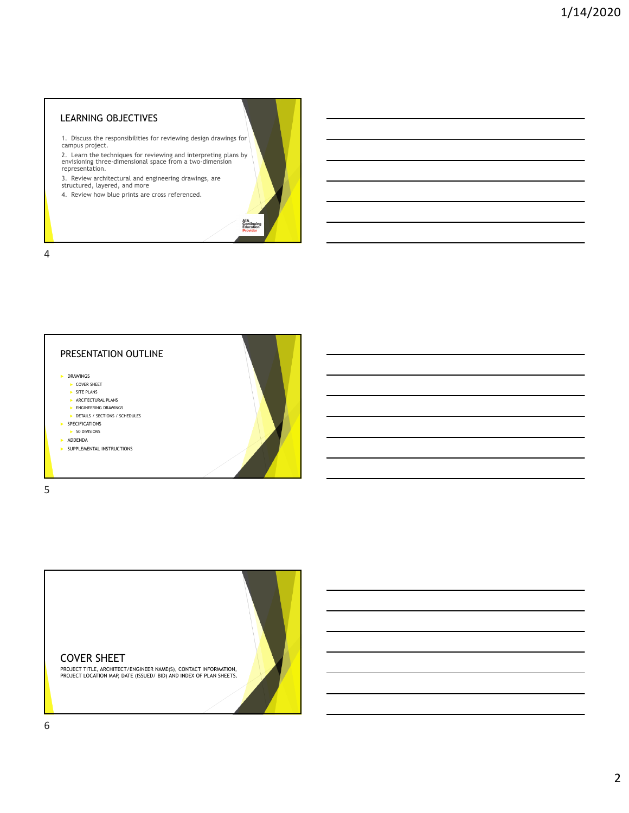## LEARNING OBJECTIVES

1. Discuss the responsibilities for reviewing design drawings for campus project.

2. Learn the techniques for reviewing and interpreting plans by envisioning three-dimensional space from a two-dimension representation.

AIA<br>Continuing<br>Education<br>Drouider

3. Review architectural and engineering drawings, are structured, layered, and more

4. Review how blue prints are cross referenced.

4



COVER SHEET

PROJECT TITLE, ARCHITECT/ENGINEER NAME(S), CONTACT INFORMATION, PROJECT LOCATION MAP, DATE (ISSUED/ BID) AND INDEX OF PLAN SHEETS.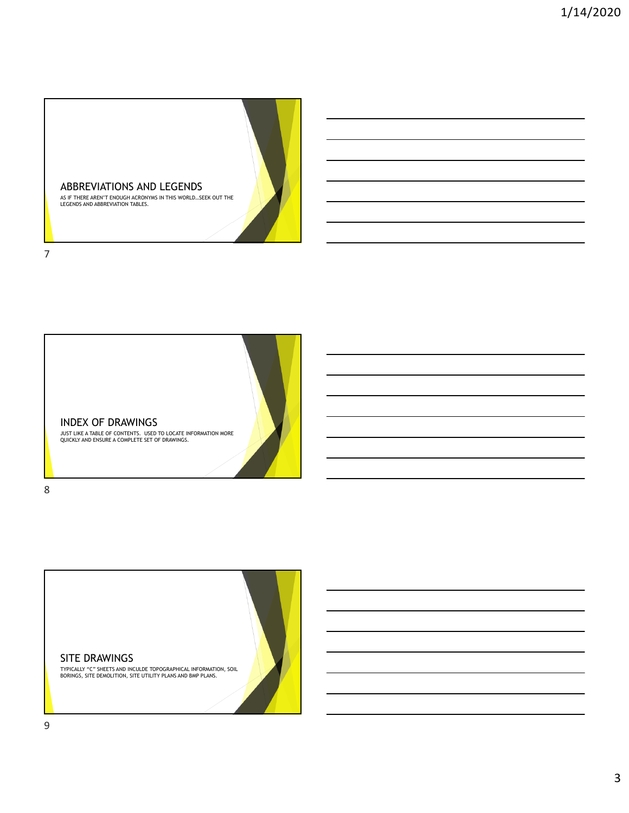





SITE DRAWINGS

TYPICALLY "C" SHEETS AND INCULDE TOPOGRAPHICAL INFORMATION, SOIL BORINGS, SITE DEMOLITION, SITE UTILITY PLANS AND BMP PLANS.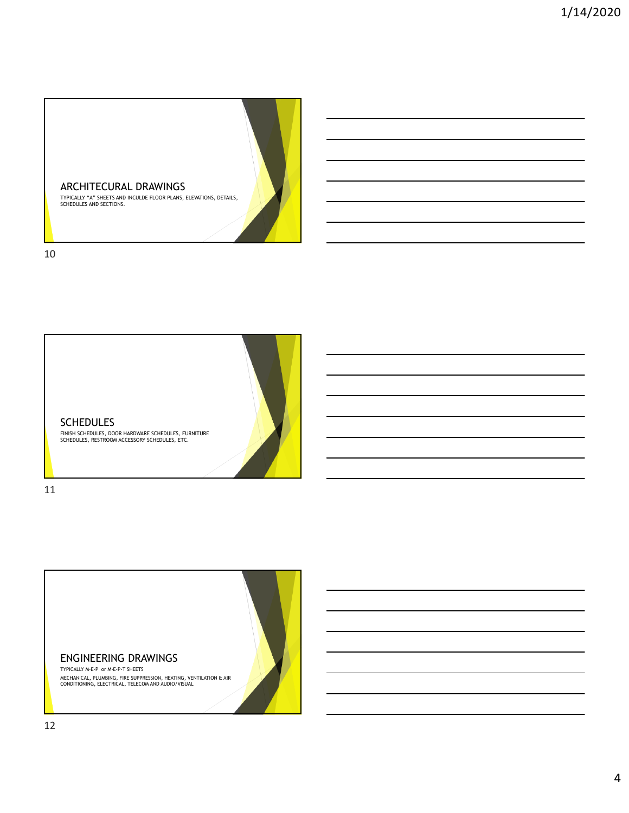

10



11

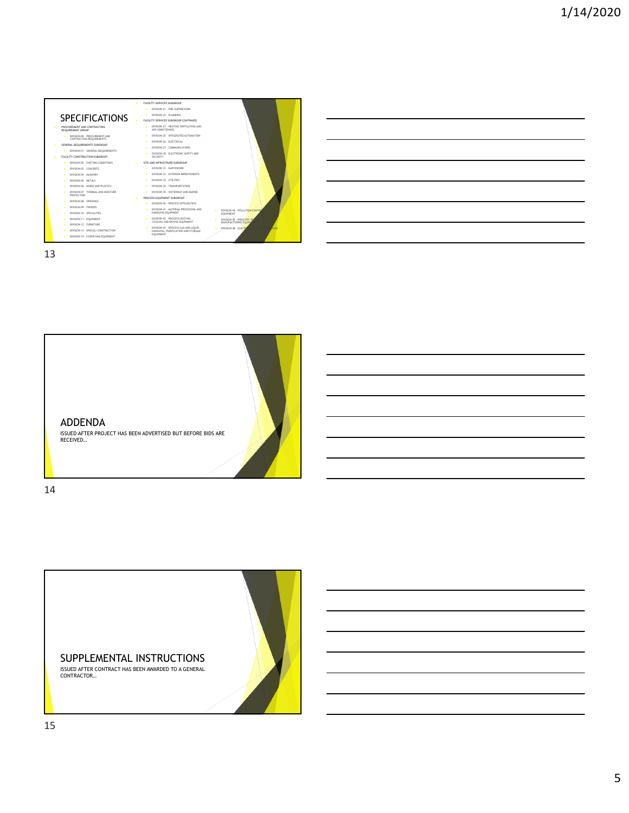

13